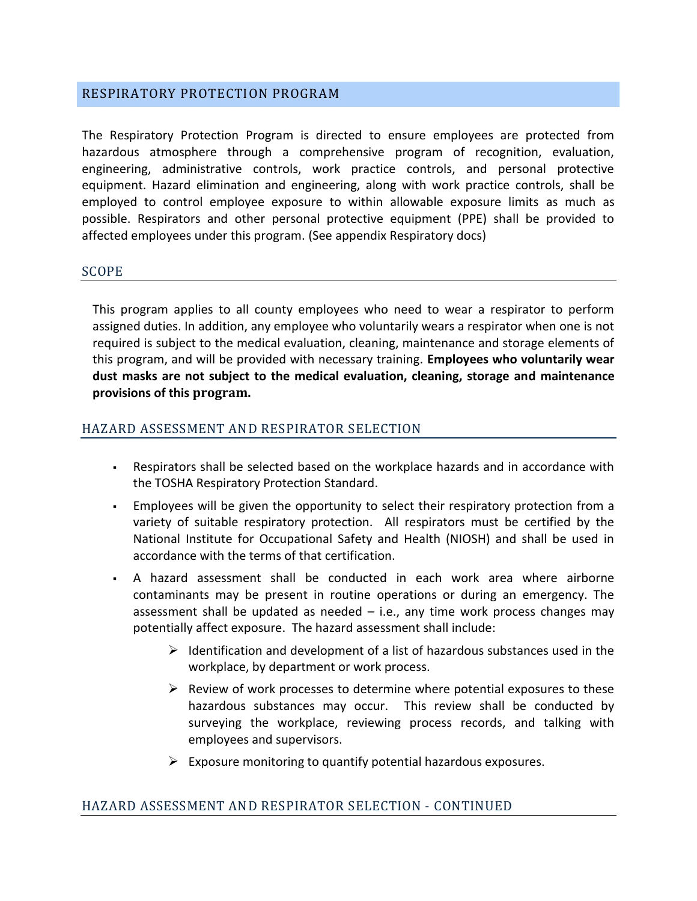### RESPIRATORY PROTECTION PROGRAM

The Respiratory Protection Program is directed to ensure employees are protected from hazardous atmosphere through a comprehensive program of recognition, evaluation, engineering, administrative controls, work practice controls, and personal protective equipment. Hazard elimination and engineering, along with work practice controls, shall be employed to control employee exposure to within allowable exposure limits as much as possible. Respirators and other personal protective equipment (PPE) shall be provided to affected employees under this program. (See appendix Respiratory docs)

#### SCOPE

This program applies to all county employees who need to wear a respirator to perform assigned duties. In addition, any employee who voluntarily wears a respirator when one is not required is subject to the medical evaluation, cleaning, maintenance and storage elements of this program, and will be provided with necessary training. **Employees who voluntarily wear dust masks are not subject to the medical evaluation, cleaning, storage and maintenance provisions of this program.**

#### HAZARD ASSESSMENT AND RESPIRATOR SELECTION

- Respirators shall be selected based on the workplace hazards and in accordance with the TOSHA Respiratory Protection Standard.
- Employees will be given the opportunity to select their respiratory protection from a variety of suitable respiratory protection. All respirators must be certified by the National Institute for Occupational Safety and Health (NIOSH) and shall be used in accordance with the terms of that certification.
- A hazard assessment shall be conducted in each work area where airborne contaminants may be present in routine operations or during an emergency. The assessment shall be updated as needed – i.e., any time work process changes may potentially affect exposure. The hazard assessment shall include:
	- $\triangleright$  Identification and development of a list of hazardous substances used in the workplace, by department or work process.
	- $\triangleright$  Review of work processes to determine where potential exposures to these hazardous substances may occur. This review shall be conducted by surveying the workplace, reviewing process records, and talking with employees and supervisors.
	- $\triangleright$  Exposure monitoring to quantify potential hazardous exposures.

#### HAZARD ASSESSMENT AND RESPIRATOR SELECTION - CONTINUED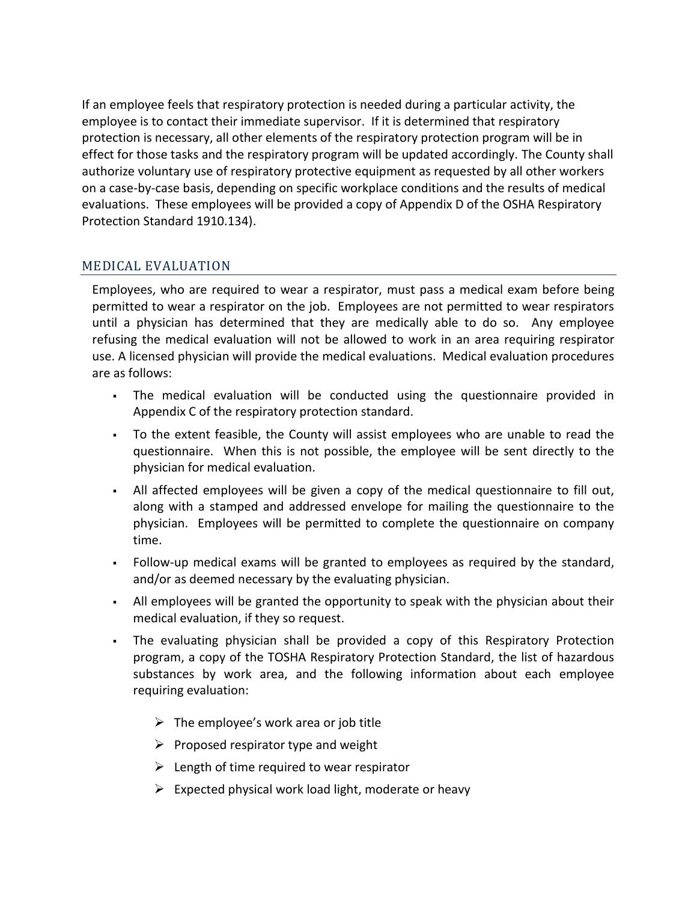If an employee feels that respiratory protection is needed during a particular activity, the employee is to contact their immediate supervisor. If it is determined that respiratory protection is necessary, all other elements of the respiratory protection program will be in effect for those tasks and the respiratory program will be updated accordingly. The County shall authorize voluntary use of respiratory protective equipment as requested by all other workers on a case-by-case basis, depending on specific workplace conditions and the results of medical evaluations. These employees will be provided a copy of Appendix D of the OSHA Respiratory Protection Standard 1910.134).

## MEDICAL EVALUATION

Employees, who are required to wear a respirator, must pass a medical exam before being permitted to wear a respirator on the job. Employees are not permitted to wear respirators until a physician has determined that they are medically able to do so. Any employee refusing the medical evaluation will not be allowed to work in an area requiring respirator use. A licensed physician will provide the medical evaluations. Medical evaluation procedures are as follows:

- The medical evaluation will be conducted using the questionnaire provided in Appendix C of the respiratory protection standard.
- To the extent feasible, the County will assist employees who are unable to read the questionnaire. When this is not possible, the employee will be sent directly to the physician for medical evaluation.
- All affected employees will be given a copy of the medical questionnaire to fill out, along with a stamped and addressed envelope for mailing the questionnaire to the physician. Employees will be permitted to complete the questionnaire on company time.
- Follow-up medical exams will be granted to employees as required by the standard, and/or as deemed necessary by the evaluating physician.
- All employees will be granted the opportunity to speak with the physician about their medical evaluation, if they so request.
- The evaluating physician shall be provided a copy of this Respiratory Protection program, a copy of the TOSHA Respiratory Protection Standard, the list of hazardous substances by work area, and the following information about each employee requiring evaluation:
	- $\triangleright$  The employee's work area or job title
	- $\triangleright$  Proposed respirator type and weight
	- $\triangleright$  Length of time required to wear respirator
	- $\triangleright$  Expected physical work load light, moderate or heavy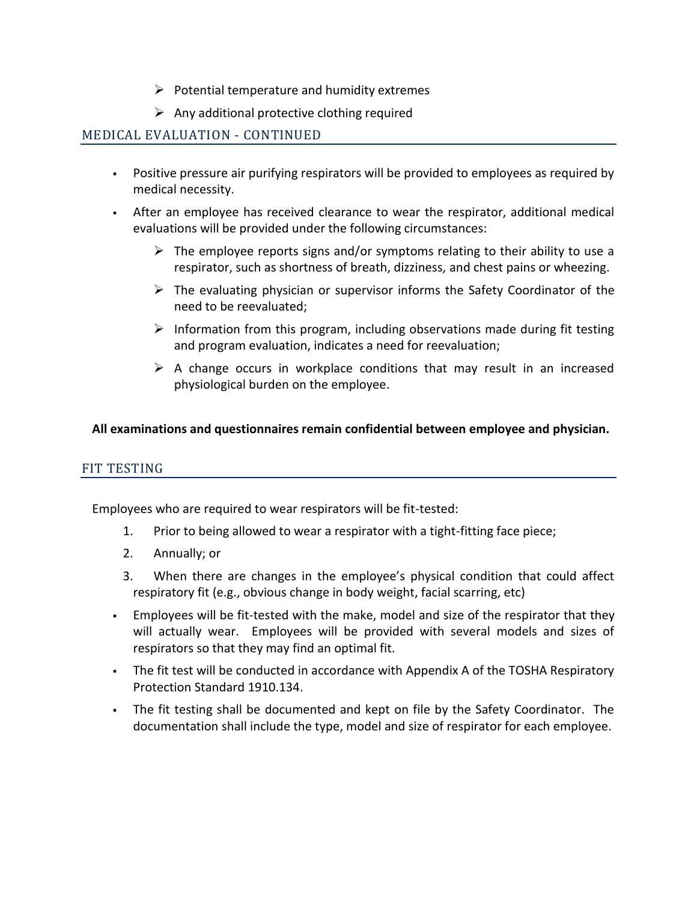- $\triangleright$  Potential temperature and humidity extremes
- $\triangleright$  Any additional protective clothing required

### MEDICAL EVALUATION - CONTINUED

- Positive pressure air purifying respirators will be provided to employees as required by medical necessity.
- After an employee has received clearance to wear the respirator, additional medical evaluations will be provided under the following circumstances:
	- $\triangleright$  The employee reports signs and/or symptoms relating to their ability to use a respirator, such as shortness of breath, dizziness, and chest pains or wheezing.
	- $\triangleright$  The evaluating physician or supervisor informs the Safety Coordinator of the need to be reevaluated;
	- $\triangleright$  Information from this program, including observations made during fit testing and program evaluation, indicates a need for reevaluation;
	- $\triangleright$  A change occurs in workplace conditions that may result in an increased physiological burden on the employee.

#### **All examinations and questionnaires remain confidential between employee and physician.**

#### FIT TESTING

Employees who are required to wear respirators will be fit-tested:

- 1. Prior to being allowed to wear a respirator with a tight-fitting face piece;
- 2. Annually; or
- 3. When there are changes in the employee's physical condition that could affect respiratory fit (e.g., obvious change in body weight, facial scarring, etc)
- Employees will be fit-tested with the make, model and size of the respirator that they will actually wear. Employees will be provided with several models and sizes of respirators so that they may find an optimal fit.
- The fit test will be conducted in accordance with Appendix A of the TOSHA Respiratory Protection Standard 1910.134.
- The fit testing shall be documented and kept on file by the Safety Coordinator. The documentation shall include the type, model and size of respirator for each employee.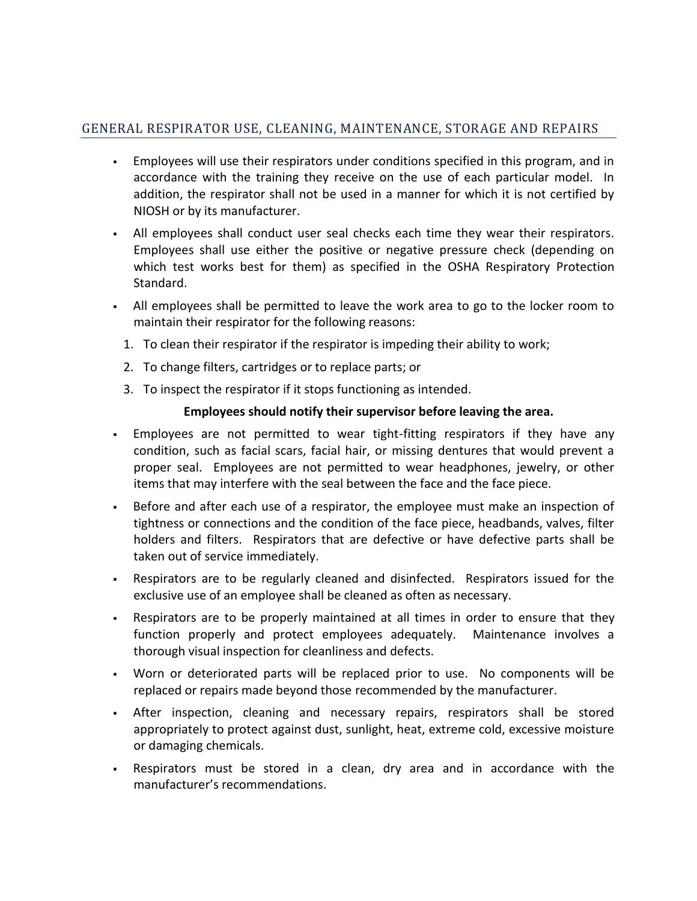# GENERAL RESPIRATOR USE, CLEANING, MAINTENANCE, STORAGE AND REPAIRS

- Employees will use their respirators under conditions specified in this program, and in accordance with the training they receive on the use of each particular model. In addition, the respirator shall not be used in a manner for which it is not certified by NIOSH or by its manufacturer.
- All employees shall conduct user seal checks each time they wear their respirators. Employees shall use either the positive or negative pressure check (depending on which test works best for them) as specified in the OSHA Respiratory Protection Standard.
- All employees shall be permitted to leave the work area to go to the locker room to maintain their respirator for the following reasons:
	- 1. To clean their respirator if the respirator is impeding their ability to work;
	- 2. To change filters, cartridges or to replace parts; or
	- 3. To inspect the respirator if it stops functioning as intended.

## **Employees should notify their supervisor before leaving the area.**

- Employees are not permitted to wear tight-fitting respirators if they have any condition, such as facial scars, facial hair, or missing dentures that would prevent a proper seal. Employees are not permitted to wear headphones, jewelry, or other items that may interfere with the seal between the face and the face piece.
- Before and after each use of a respirator, the employee must make an inspection of tightness or connections and the condition of the face piece, headbands, valves, filter holders and filters. Respirators that are defective or have defective parts shall be taken out of service immediately.
- Respirators are to be regularly cleaned and disinfected. Respirators issued for the exclusive use of an employee shall be cleaned as often as necessary.
- Respirators are to be properly maintained at all times in order to ensure that they function properly and protect employees adequately. Maintenance involves a thorough visual inspection for cleanliness and defects.
- Worn or deteriorated parts will be replaced prior to use. No components will be replaced or repairs made beyond those recommended by the manufacturer.
- After inspection, cleaning and necessary repairs, respirators shall be stored appropriately to protect against dust, sunlight, heat, extreme cold, excessive moisture or damaging chemicals.
- Respirators must be stored in a clean, dry area and in accordance with the manufacturer's recommendations.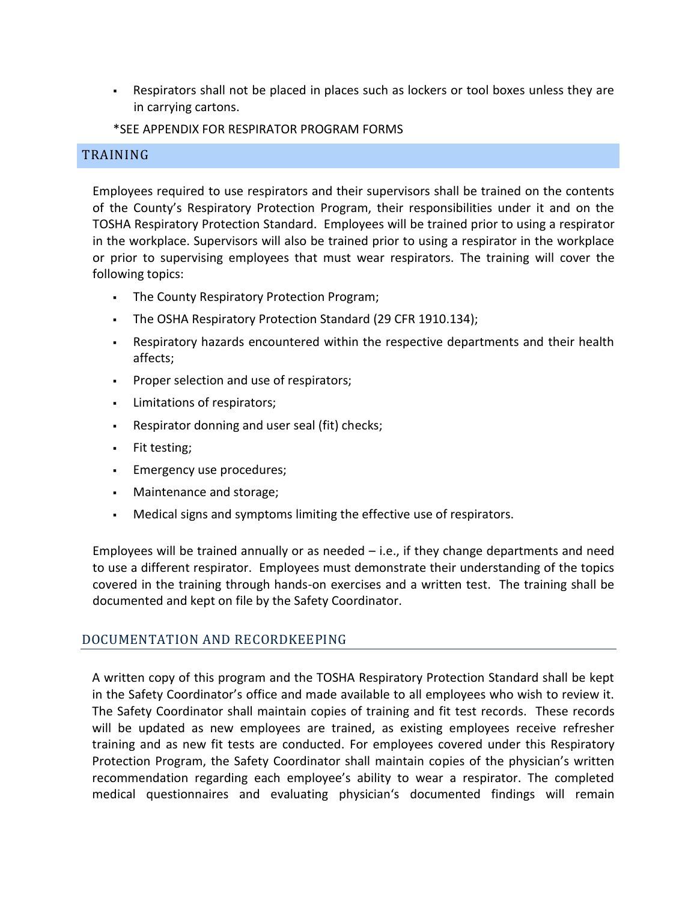- Respirators shall not be placed in places such as lockers or tool boxes unless they are in carrying cartons.
- \*SEE APPENDIX FOR RESPIRATOR PROGRAM FORMS

## TRAINING

Employees required to use respirators and their supervisors shall be trained on the contents of the County's Respiratory Protection Program, their responsibilities under it and on the TOSHA Respiratory Protection Standard. Employees will be trained prior to using a respirator in the workplace. Supervisors will also be trained prior to using a respirator in the workplace or prior to supervising employees that must wear respirators. The training will cover the following topics:

- . The County Respiratory Protection Program;
- The OSHA Respiratory Protection Standard (29 CFR 1910.134);
- Respiratory hazards encountered within the respective departments and their health affects;
- **Proper selection and use of respirators;**
- Limitations of respirators;
- Respirator donning and user seal (fit) checks;
- Fit testing;
- Emergency use procedures;
- Maintenance and storage;
- Medical signs and symptoms limiting the effective use of respirators.

Employees will be trained annually or as needed  $-$  i.e., if they change departments and need to use a different respirator. Employees must demonstrate their understanding of the topics covered in the training through hands-on exercises and a written test. The training shall be documented and kept on file by the Safety Coordinator.

## DOCUMENTATION AND RECORDKEEPING

A written copy of this program and the TOSHA Respiratory Protection Standard shall be kept in the Safety Coordinator's office and made available to all employees who wish to review it. The Safety Coordinator shall maintain copies of training and fit test records. These records will be updated as new employees are trained, as existing employees receive refresher training and as new fit tests are conducted. For employees covered under this Respiratory Protection Program, the Safety Coordinator shall maintain copies of the physician's written recommendation regarding each employee's ability to wear a respirator. The completed medical questionnaires and evaluating physician's documented findings will remain